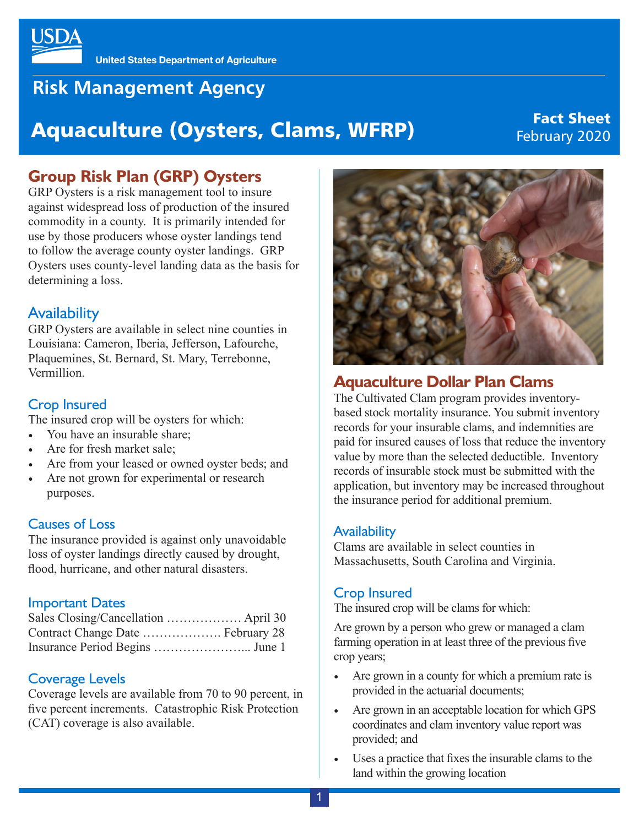

## **Risk Management Agency**

# Fact Sheet Aquaculture (Oysters, Clams, WFRP) Fact Sheet

### **Group Risk Plan (GRP) Oysters**

GRP Oysters is a risk management tool to insure against widespread loss of production of the insured commodity in a county. It is primarily intended for use by those producers whose oyster landings tend to follow the average county oyster landings. GRP Oysters uses county-level landing data as the basis for determining a loss.

#### Availability

GRP Oysters are available in select nine counties in Louisiana: Cameron, Iberia, Jefferson, Lafourche, Plaquemines, St. Bernard, St. Mary, Terrebonne, Vermillion.

#### Crop Insured

The insured crop will be oysters for which:

- You have an insurable share;
- Are for fresh market sale;
- Are from your leased or owned oyster beds; and
- Are not grown for experimental or research purposes.

#### Causes of Loss

The insurance provided is against only unavoidable loss of oyster landings directly caused by drought, flood, hurricane, and other natural disasters.

#### Important Dates

#### Coverage Levels

Coverage levels are available from 70 to 90 percent, in five percent increments. Catastrophic Risk Protection (CAT) coverage is also available.



#### **Aquaculture Dollar Plan Clams**

The Cultivated Clam program provides inventorybased stock mortality insurance. You submit inventory records for your insurable clams, and indemnities are paid for insured causes of loss that reduce the inventory value by more than the selected deductible. Inventory records of insurable stock must be submitted with the application, but inventory may be increased throughout the insurance period for additional premium.

#### **Availability**

Clams are available in select counties in Massachusetts, South Carolina and Virginia.

#### Crop Insured

The insured crop will be clams for which:

Are grown by a person who grew or managed a clam farming operation in at least three of the previous five crop years;

- Are grown in a county for which a premium rate is provided in the actuarial documents;
- Are grown in an acceptable location for which GPS coordinates and clam inventory value report was provided; and
- Uses a practice that fixes the insurable clams to the land within the growing location